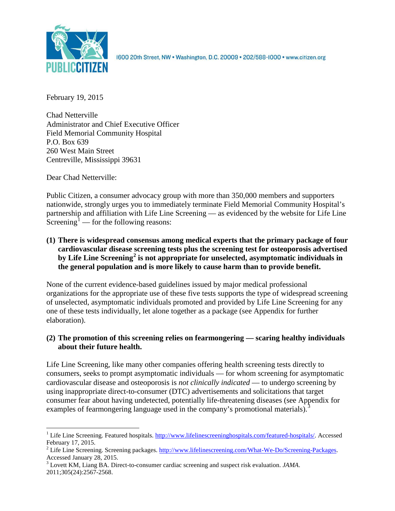

1600 20th Street, NW . Washington, D.C. 20009 . 202/588-1000 . www.citizen.org

February 19, 2015

Chad Netterville Administrator and Chief Executive Officer Field Memorial Community Hospital P.O. Box 639 260 West Main Street Centreville, Mississippi 39631

Dear Chad Netterville:

Public Citizen, a consumer advocacy group with more than 350,000 members and supporters nationwide, strongly urges you to immediately terminate Field Memorial Community Hospital's partnership and affiliation with Life Line Screening — as evidenced by the website for Life Line Screening<sup>[1](#page-0-0)</sup> — for the following reasons:

**(1) There is widespread consensus among medical experts that the primary package of four cardiovascular disease screening tests plus the screening test for osteoporosis advertised by Life Line Screening[2](#page-0-1) is not appropriate for unselected, asymptomatic individuals in the general population and is more likely to cause harm than to provide benefit.**

None of the current evidence-based guidelines issued by major medical professional organizations for the appropriate use of these five tests supports the type of widespread screening of unselected, asymptomatic individuals promoted and provided by Life Line Screening for any one of these tests individually, let alone together as a package (see Appendix for further elaboration).

# **(2) The promotion of this screening relies on fearmongering — scaring healthy individuals about their future health.**

Life Line Screening, like many other companies offering health screening tests directly to consumers, seeks to prompt asymptomatic individuals — for whom screening for asymptomatic cardiovascular disease and osteoporosis is *not clinically indicated* — to undergo screening by using inappropriate direct-to-consumer (DTC) advertisements and solicitations that target consumer fear about having undetected, potentially life-threatening diseases (see Appendix for examples of fearmongering language used in the company's promotional materials).<sup>[3](#page-0-2)</sup>

<span id="page-0-0"></span><sup>&</sup>lt;sup>1</sup> Life Line Screening. Featured hospitals.  $\frac{http://www.lifelinescreeninghospitals.com/featured-hospitals/}{$ . Accessed February 17, 2015.

<span id="page-0-1"></span><sup>&</sup>lt;sup>2</sup> Life Line Screening. Screening packages.  $\frac{http://www.lifelinescreening.com/What-We-Do/Screening-Packages. Accessed January 28, 2015.$ 

<span id="page-0-2"></span><sup>&</sup>lt;sup>3</sup> Lovett KM, Liang BA. Direct-to-consumer cardiac screening and suspect risk evaluation. *JAMA*. 2011;305(24):2567-2568.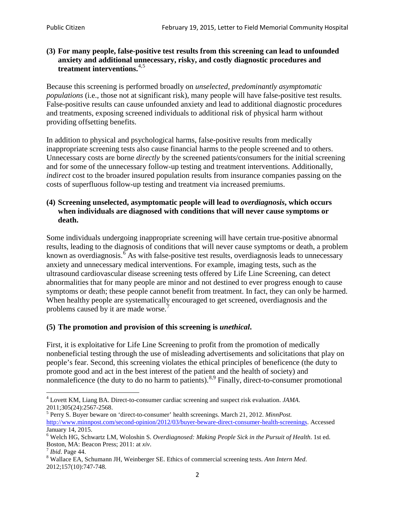### **(3) For many people, false-positive test results from this screening can lead to unfounded anxiety and additional unnecessary, risky, and costly diagnostic procedures and treatment interventions.**[4](#page-1-0),[5](#page-1-1)

Because this screening is performed broadly on *unselected, predominantly asymptomatic populations* (i.e., those not at significant risk), many people will have false**-**positive test results. False-positive results can cause unfounded anxiety and lead to additional diagnostic procedures and treatments, exposing screened individuals to additional risk of physical harm without providing offsetting benefits.

In addition to physical and psychological harms, false-positive results from medically inappropriate screening tests also cause financial harms to the people screened and to others. Unnecessary costs are borne *directly* by the screened patients/consumers for the initial screening and for some of the unnecessary follow-up testing and treatment interventions. Additionally, *indirect* cost to the broader insured population results from insurance companies passing on the costs of superfluous follow-up testing and treatment via increased premiums.

### **(4) Screening unselected, asymptomatic people will lead to** *overdiagnosis***, which occurs when individuals are diagnosed with conditions that will never cause symptoms or death.**

Some individuals undergoing inappropriate screening will have certain true-positive abnormal results, leading to the diagnosis of conditions that will never cause symptoms or death, a problem known as overdiagnosis.<sup>[6](#page-1-2)</sup> As with false-positive test results, overdiagnosis leads to unnecessary anxiety and unnecessary medical interventions. For example, imaging tests, such as the ultrasound cardiovascular disease screening tests offered by Life Line Screening, can detect abnormalities that for many people are minor and not destined to ever progress enough to cause symptoms or death; these people cannot benefit from treatment. In fact, they can only be harmed. When healthy people are systematically encouraged to get screened, overdiagnosis and the problems caused by it are made worse.<sup>[7](#page-1-3)</sup>

# **(5) The promotion and provision of this screening is** *unethical***.**

First, it is exploitative for Life Line Screening to profit from the promotion of medically nonbeneficial testing through the use of misleading advertisements and solicitations that play on people's fear. Second, this screening violates the ethical principles of beneficence (the duty to promote good and act in the best interest of the patient and the health of society) and nonmaleficence (the duty to do no harm to patients).<sup>[8](#page-1-4),[9](#page-1-5)</sup> Finally, direct-to-consumer promotional

<span id="page-1-5"></span><span id="page-1-0"></span><sup>4</sup> Lovett KM, Liang BA. Direct-to-consumer cardiac screening and suspect risk evaluation. *JAMA*.

<span id="page-1-1"></span><sup>2011;305(24):2567-2568.</sup> <sup>5</sup> Perry S. Buyer beware on 'direct-to-consumer' health screenings. March 21, 2012. *MinnPost.*  [http://www.minnpost.com/second-opinion/2012/03/buyer-beware-direct-consumer-health-screenings.](http://www.minnpost.com/second-opinion/2012/03/buyer-beware-direct-consumer-health-screenings) Accessed January 14, 2015.

<span id="page-1-2"></span><sup>6</sup> Welch HG, Schwartz LM, Woloshin S. *Overdiagnosed: Making People Sick in the Pursuit of Health*. 1st ed. Boston, MA: Beacon Press; 2011: at *xiv*.<br><sup>7</sup> *Ibid*. Page 44.<br><sup>8</sup> Wallace EA, Schumann JH, Weinberger SE. Ethics of commercial screening tests. *Ann Intern Med*.

<span id="page-1-3"></span>

<span id="page-1-4"></span><sup>2012;157(10):747-748.</sup>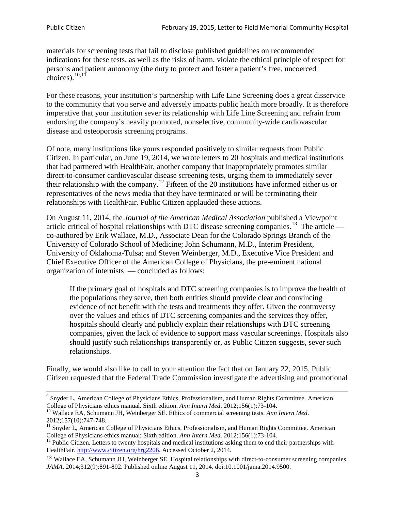materials for screening tests that fail to disclose published guidelines on recommended indications for these tests, as well as the risks of harm, violate the ethical principle of respect for persons and patient autonomy (the duty to protect and foster a patient's free, uncoerced choices). $10,11$  $10,11$ 

For these reasons, your institution's partnership with Life Line Screening does a great disservice to the community that you serve and adversely impacts public health more broadly. It is therefore imperative that your institution sever its relationship with Life Line Screening and refrain from endorsing the company's heavily promoted, nonselective, community**-**wide cardiovascular disease and osteoporosis screening programs.

Of note, many institutions like yours responded positively to similar requests from Public Citizen. In particular, on June 19, 2014, we wrote letters to 20 hospitals and medical institutions that had partnered with HealthFair, another company that inappropriately promotes similar direct-to-consumer cardiovascular disease screening tests, urging them to immediately sever their relationship with the company. [12](#page-2-2) Fifteen of the 20 institutions have informed either us or representatives of the news media that they have terminated or will be terminating their relationships with HealthFair. Public Citizen applauded these actions.

On August 11, 2014, the *Journal of the American Medical Association* published a Viewpoint article critical of hospital relationships with DTC disease screening companies.<sup>13</sup> The article co-authored by Erik Wallace, M.D., Associate Dean for the Colorado Springs Branch of the University of Colorado School of Medicine; John Schumann, M.D., Interim President, University of Oklahoma-Tulsa; and Steven Weinberger, M.D., Executive Vice President and Chief Executive Officer of the American College of Physicians, the pre**-**eminent national organization of internists — concluded as follows:

If the primary goal of hospitals and DTC screening companies is to improve the health of the populations they serve, then both entities should provide clear and convincing evidence of net benefit with the tests and treatments they offer. Given the controversy over the values and ethics of DTC screening companies and the services they offer, hospitals should clearly and publicly explain their relationships with DTC screening companies, given the lack of evidence to support mass vascular screenings. Hospitals also should justify such relationships transparently or, as Public Citizen suggests, sever such relationships.

Finally, we would also like to call to your attention the fact that on January 22, 2015, Public Citizen requested that the Federal Trade Commission investigate the advertising and promotional

<sup>&</sup>lt;sup>9</sup> Snyder L, American College of Physicians Ethics, Professionalism, and Human Rights Committee. American College of Physicians ethics manual. Sixth edition. Ann Intern Med. 2012;156(1):73-104.

<span id="page-2-0"></span><sup>&</sup>lt;sup>10</sup> Wallace EA, Schumann JH, Weinberger SE. Ethics of commercial screening tests. *Ann Intern Med*. 2012;157(10):747-748.

<span id="page-2-1"></span> $11$  Snyder L, American College of Physicians Ethics, Professionalism, and Human Rights Committee. American College of Physicians ethics manual: Sixth edition. *Ann Intern Med*. 2012;156(1):73-104.<br><sup>12</sup> Public Citizen. Letters to twenty hospitals and medical institutions asking them to end their partnerships with

<span id="page-2-2"></span>HealthFair. [http://www.citizen.org/hrg2206.](http://www.citizen.org/hrg2206) Accessed October 2, 2014.

<span id="page-2-3"></span><sup>13</sup> Wallace EA, Schumann JH, Weinberger SE. Hospital relationships with direct-to-consumer screening companies. *JAMA*. 2014;312(9):891-892. Published online August 11, 2014. doi:10.1001/jama.2014.9500.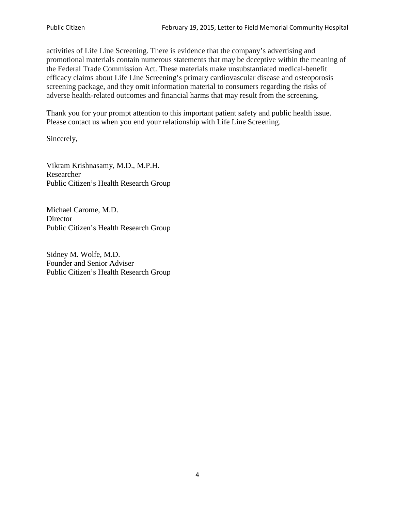activities of Life Line Screening. There is evidence that the company's advertising and promotional materials contain numerous statements that may be deceptive within the meaning of the Federal Trade Commission Act. These materials make unsubstantiated medical-benefit efficacy claims about Life Line Screening's primary cardiovascular disease and osteoporosis screening package, and they omit information material to consumers regarding the risks of adverse health-related outcomes and financial harms that may result from the screening.

Thank you for your prompt attention to this important patient safety and public health issue. Please contact us when you end your relationship with Life Line Screening.

Sincerely,

Vikram Krishnasamy, M.D., M.P.H. Researcher Public Citizen's Health Research Group

Michael Carome, M.D. **Director** Public Citizen's Health Research Group

Sidney M. Wolfe, M.D. Founder and Senior Adviser Public Citizen's Health Research Group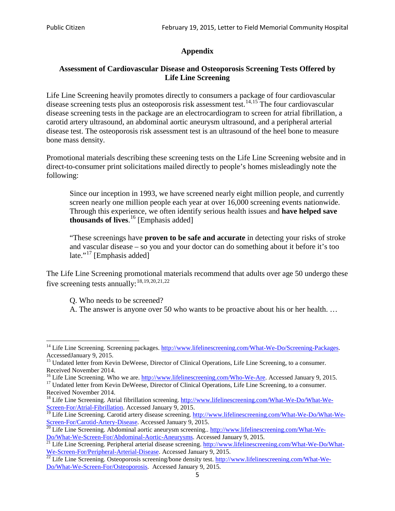# **Appendix**

### **Assessment of Cardiovascular Disease and Osteoporosis Screening Tests Offered by Life Line Screening**

Life Line Screening heavily promotes directly to consumers a package of four cardiovascular disease screening tests plus an osteoporosis risk assessment test.<sup>[14](#page-4-0),[15](#page-4-1)</sup> The four cardiovascular disease screening tests in the package are an electrocardiogram to screen for atrial fibrillation, a carotid artery ultrasound, an abdominal aortic aneurysm ultrasound, and a peripheral arterial disease test. The osteoporosis risk assessment test is an ultrasound of the heel bone to measure bone mass density.

Promotional materials describing these screening tests on the Life Line Screening website and in direct-to-consumer print solicitations mailed directly to people's homes misleadingly note the following:

Since our inception in 1993, we have screened nearly eight million people, and currently screen nearly one million people each year at over 16,000 screening events nationwide. Through this experience, we often identify serious health issues and **have helped save thousands of lives**. [16](#page-4-2) [Emphasis added]

"These screenings have **proven to be safe and accurate** in detecting your risks of stroke and vascular disease – so you and your doctor can do something about it before it's too late."<sup>[17](#page-4-3)</sup> [Emphasis added]

The Life Line Screening promotional materials recommend that adults over age 50 undergo these five screening tests annually:<sup>[18](#page-4-4),[19,](#page-4-5)[20,](#page-4-6)[21](#page-4-7),[22](#page-4-8)</sup>

Q. Who needs to be screened?

A. The answer is anyone over 50 who wants to be proactive about his or her health. …

<span id="page-4-0"></span><sup>&</sup>lt;sup>14</sup> Life Line Screening. Screening packages. [http://www.lifelinescreening.com/What-We-Do/Screening-Packages.](http://www.lifelinescreening.com/What-We-Do/Screening-Packages) AccessedJanuary 9, 2015.

<span id="page-4-1"></span><sup>&</sup>lt;sup>15</sup> Undated letter from Kevin DeWeese, Director of Clinical Operations, Life Line Screening, to a consumer.

Received November 2014.<br><sup>16</sup> Life Line Screening. Who we are. http://www.lifelinescreening.com/Who-We-Are. Accessed January 9, 2015.

<span id="page-4-3"></span><span id="page-4-2"></span><sup>&</sup>lt;sup>17</sup> Undated letter from Kevin DeWeese, Director of Clinical Operations, Life Line Screening, to a consumer. Received November 2014.

<span id="page-4-4"></span><sup>&</sup>lt;sup>18</sup> Life Line Screening. Atrial fibrillation screening. [http://www.lifelinescreening.com/What-We-Do/What-We-](http://www.lifelinescreening.com/What-We-Do/What-We-Screen-For/Atrial-Fibrillation)[Screen-For/Atrial-Fibrillation.](http://www.lifelinescreening.com/What-We-Do/What-We-Screen-For/Atrial-Fibrillation) Accessed January 9, 2015.

<sup>&</sup>lt;sup>19</sup> Life Line Screening. Carotid artery disease screening. [http://www.lifelinescreening.com/What-We-Do/What-We-](http://www.lifelinescreening.com/What-We-Do/What-We-Screen-For/Carotid-Artery-Disease)

<span id="page-4-6"></span><span id="page-4-5"></span>[Screen-For/Carotid-Artery-Disease.](http://www.lifelinescreening.com/What-We-Do/What-We-Screen-For/Carotid-Artery-Disease) Accessed January 9, 2015.<br><sup>20</sup> Life Line Screening. Abdominal aortic aneurysm screening.. http://www.lifelinescreening.com/What-We-Do/What-We-Do/What-We-Screen-For/Abdominal-Aortic-Aneury

<span id="page-4-7"></span><sup>&</sup>lt;sup>21</sup> Life Line Screening. Peripheral arterial disease screening. [http://www.lifelinescreening.com/What-We-Do/What-](http://www.lifelinescreening.com/What-We-Do/What-We-Screen-For/Peripheral-Arterial-Disease)

<span id="page-4-8"></span>[We-Screen-For/Peripheral-Arterial-Disease.](http://www.lifelinescreening.com/What-We-Do/What-We-Screen-For/Peripheral-Arterial-Disease) Accessed January 9, 2015.<br><sup>22</sup> Life Line Screening. Osteoporosis screening/bone density test. [http://www.lifelinescreening.com/What-We-](http://www.lifelinescreening.com/What-We-Do/What-We-Screen-For/Osteoporosis)[Do/What-We-Screen-For/Osteoporosis.](http://www.lifelinescreening.com/What-We-Do/What-We-Screen-For/Osteoporosis) Accessed January 9, 2015.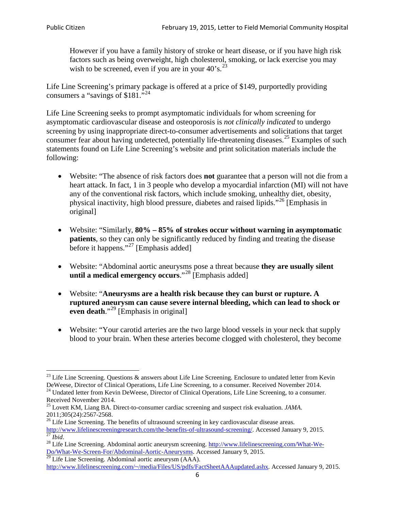However if you have a family history of stroke or heart disease, or if you have high risk factors such as being overweight, high cholesterol, smoking, or lack exercise you may wish to be screened, even if you are in your  $40^\circ$ s.<sup>[23](#page-5-0)</sup>

Life Line Screening's primary package is offered at a price of \$149, purportedly providing consumers a "savings of \$181."[24](#page-5-1)

Life Line Screening seeks to prompt asymptomatic individuals for whom screening for asymptomatic cardiovascular disease and osteoporosis is *not clinically indicated* to undergo screening by using inappropriate direct-to-consumer advertisements and solicitations that target consumer fear about having undetected, potentially life-threatening diseases.<sup>[25](#page-5-2)</sup> Examples of such statements found on Life Line Screening's website and print solicitation materials include the following:

- Website: "The absence of risk factors does **not** guarantee that a person will not die from a heart attack. In fact, 1 in 3 people who develop a myocardial infarction (MI) will not have any of the conventional risk factors, which include smoking, unhealthy diet, obesity, physical inactivity, high blood pressure, diabetes and raised lipids."[26](#page-5-3) [Emphasis in original]
- Website: "Similarly, **80% – 85% of strokes occur without warning in asymptomatic patients**, so they can only be significantly reduced by finding and treating the disease before it happens."<sup>[27](#page-5-4)</sup> [Emphasis added]
- Website: "Abdominal aortic aneurysms pose a threat because **they are usually silent until a medical emergency occurs**."[28](#page-5-5) [Emphasis added]
- Website: "**Aneurysms are a health risk because they can burst or rupture. A ruptured aneurysm can cause severe internal bleeding, which can lead to shock or even death.**"<sup>[29](#page-5-6)</sup> [Emphasis in original]
- Website: "Your carotid arteries are the two large blood vessels in your neck that supply blood to your brain. When these arteries become clogged with cholesterol, they become

<span id="page-5-0"></span><sup>&</sup>lt;sup>23</sup> Life Line Screening. Questions  $\&$  answers about Life Line Screening. Enclosure to undated letter from Kevin DeWeese, Director of Clinical Operations, Life Line Screening, to a consumer. Received November 2014.

<span id="page-5-1"></span><sup>&</sup>lt;sup>24</sup> Undated letter from Kevin DeWeese, Director of Clinical Operations, Life Line Screening, to a consumer. Received November 2014.

<span id="page-5-2"></span><sup>25</sup> Lovett KM, Liang BA. Direct-to-consumer cardiac screening and suspect risk evaluation. *JAMA*.  $2011;305(24):2567-2568$ .<br><sup>26</sup> Life Line Screening. The benefits of ultrasound screening in key cardiovascular disease areas.

<span id="page-5-3"></span>[http://www.lifelinescreeningresearch.com/the-benefits-of-ultrasound-screening/.](http://www.lifelinescreeningresearch.com/the-benefits-of-ultrasound-screening/) Accessed January 9, 2015.<br><sup>28</sup> Life Line Screening. Abdominal aortic aneurysm screening. http://www.lifelinescreening.com/What-We-<br><sup>28</sup> Life L

<span id="page-5-5"></span><span id="page-5-4"></span>[Do/What-We-Screen-For/Abdominal-Aortic-Aneurysms.](http://www.lifelinescreening.com/What-We-Do/What-We-Screen-For/Abdominal-Aortic-Aneurysms) Accessed January 9, 2015. <sup>29</sup> Life Line Screening. Abdominal aortic aneurysm (AAA).

<span id="page-5-6"></span>[http://www.lifelinescreening.com/~/media/Files/US/pdfs/FactSheetAAAupdated.ashx.](http://www.lifelinescreening.com/~/media/Files/US/pdfs/FactSheetAAAupdated.ashx) Accessed January 9, 2015.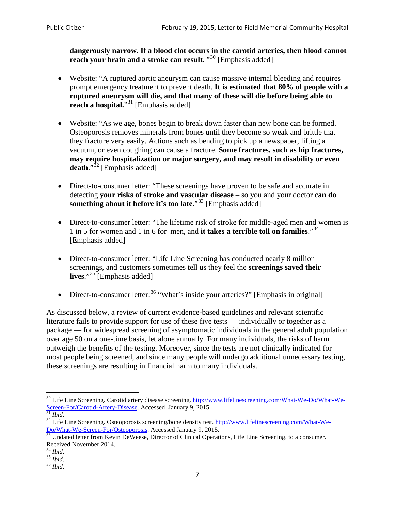**dangerously narrow**. **If a blood clot occurs in the carotid arteries, then blood cannot reach your brain and a stroke can result**. "<sup>[30](#page-6-0)</sup> [Emphasis added]

- Website: "A ruptured aortic aneurysm can cause massive internal bleeding and requires prompt emergency treatment to prevent death. **It is estimated that 80% of people with a ruptured aneurysm will die, and that many of these will die before being able to reach a hospital.**"<sup>[31](#page-6-1)</sup> [Emphasis added]
- Website: "As we age, bones begin to break down faster than new bone can be formed. Osteoporosis removes minerals from bones until they become so weak and brittle that they fracture very easily. Actions such as bending to pick up a newspaper, lifting a vacuum, or even coughing can cause a fracture. **Some fractures, such as hip fractures, may require hospitalization or major surgery, and may result in disability or even**  death."<sup>[32](#page-6-2)</sup> [Emphasis added]
- Direct-to-consumer letter: "These screenings have proven to be safe and accurate in detecting **your risks of stroke and vascular disease** – so you and your doctor **can do something about it before it's too late.**"<sup>[33](#page-6-3)</sup> [Emphasis added]
- Direct-to-consumer letter: "The lifetime risk of stroke for middle-aged men and women is 1 in 5 for women and 1 in 6 for men, and **it takes a terrible toll on families**."[34](#page-6-4) [Emphasis added]
- Direct-to-consumer letter: "Life Line Screening has conducted nearly 8 million screenings, and customers sometimes tell us they feel the **screenings saved their lives**."[35](#page-6-5) [Emphasis added]
- Direct-to-consumer letter:  $36$  "What's inside your arteries?" [Emphasis in original]

As discussed below, a review of current evidence-based guidelines and relevant scientific literature fails to provide support for use of these five tests — individually or together as a package — for widespread screening of asymptomatic individuals in the general adult population over age 50 on a one-time basis, let alone annually. For many individuals, the risks of harm outweigh the benefits of the testing. Moreover, since the tests are not clinically indicated for most people being screened, and since many people will undergo additional unnecessary testing, these screenings are resulting in financial harm to many individuals.

<span id="page-6-0"></span><sup>&</sup>lt;sup>30</sup> Life Line Screening. Carotid artery disease screening. [http://www.lifelinescreening.com/What-We-Do/What-We-](http://www.lifelinescreening.com/What-We-Do/What-We-Screen-For/Carotid-Artery-Disease)[Screen-For/Carotid-Artery-Disease.](http://www.lifelinescreening.com/What-We-Do/What-We-Screen-For/Carotid-Artery-Disease) Accessed January 9, 2015.<br><sup>31</sup> *Ibid.* 32 Life Line Screening. Osteoporosis screening/bone density test. [http://www.lifelinescreening.com/What-We-](http://www.lifelinescreening.com/What-We-Do/What-We-Screen-For/Osteoporosis)

<span id="page-6-2"></span><span id="page-6-1"></span>[Do/What-We-Screen-For/Osteoporosis.](http://www.lifelinescreening.com/What-We-Do/What-We-Screen-For/Osteoporosis) Accessed January 9, 2015. <sup>33</sup> Undated letter from Kevin DeWeese, Director of Clinical Operations, Life Line Screening, to a consumer.

<span id="page-6-3"></span>Received November 2014.<br><sup>34</sup> Ibid.

<span id="page-6-4"></span>

<span id="page-6-5"></span><sup>34</sup> *Ibid*. 35 *Ibid*. 36 *Ibid*.

<span id="page-6-6"></span>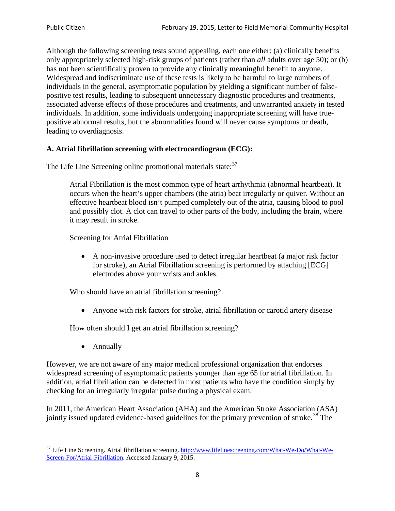Although the following screening tests sound appealing, each one either: (a) clinically benefits only appropriately selected high-risk groups of patients (rather than *all* adults over age 50); or (b) has not been scientifically proven to provide any clinically meaningful benefit to anyone. Widespread and indiscriminate use of these tests is likely to be harmful to large numbers of individuals in the general, asymptomatic population by yielding a significant number of falsepositive test results, leading to subsequent unnecessary diagnostic procedures and treatments, associated adverse effects of those procedures and treatments, and unwarranted anxiety in tested individuals. In addition, some individuals undergoing inappropriate screening will have truepositive abnormal results, but the abnormalities found will never cause symptoms or death, leading to overdiagnosis.

# **A. Atrial fibrillation screening with electrocardiogram (ECG):**

The Life Line Screening online promotional materials state:<sup>[37](#page-7-0)</sup>

Atrial Fibrillation is the most common type of heart arrhythmia (abnormal heartbeat). It occurs when the heart's upper chambers (the atria) beat irregularly or quiver. Without an effective heartbeat blood isn't pumped completely out of the atria, causing blood to pool and possibly clot. A clot can travel to other parts of the body, including the brain, where it may result in stroke.

Screening for Atrial Fibrillation

• A non-invasive procedure used to detect irregular heartbeat (a major risk factor for stroke), an Atrial Fibrillation screening is performed by attaching [ECG] electrodes above your wrists and ankles.

Who should have an atrial fibrillation screening?

• Anyone with risk factors for stroke, atrial fibrillation or carotid artery disease

How often should I get an atrial fibrillation screening?

• Annually

<span id="page-7-1"></span>However, we are not aware of any major medical professional organization that endorses widespread screening of asymptomatic patients younger than age 65 for atrial fibrillation. In addition, atrial fibrillation can be detected in most patients who have the condition simply by checking for an irregularly irregular pulse during a physical exam.

In 2011, the American Heart Association (AHA) and the American Stroke Association (ASA) jointly issued updated evidence-based guidelines for the primary prevention of stroke.<sup>[38](#page-7-1)</sup> The

<span id="page-7-0"></span><sup>&</sup>lt;sup>37</sup> Life Line Screening. Atrial fibrillation screening. [http://www.lifelinescreening.com/What-We-Do/What-We-](http://www.lifelinescreening.com/What-We-Do/What-We-Screen-For/Atrial-Fibrillation)[Screen-For/Atrial-Fibrillation.](http://www.lifelinescreening.com/What-We-Do/What-We-Screen-For/Atrial-Fibrillation) Accessed January 9, 2015.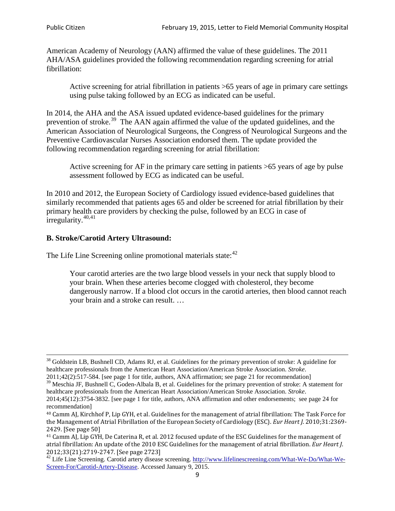American Academy of Neurology (AAN) affirmed the value of these guidelines. The 2011 AHA/ASA guidelines provided the following recommendation regarding screening for atrial fibrillation:

Active screening for atrial fibrillation in patients >65 years of age in primary care settings using pulse taking followed by an ECG as indicated can be useful.

In 2014, the AHA and the ASA issued updated evidence-based guidelines for the primary prevention of stroke.<sup>[39](#page-8-0)</sup> The AAN again affirmed the value of the updated guidelines, and the American Association of Neurological Surgeons, the Congress of Neurological Surgeons and the Preventive Cardiovascular Nurses Association endorsed them. The update provided the following recommendation regarding screening for atrial fibrillation:

Active screening for AF in the primary care setting in patients >65 years of age by pulse assessment followed by ECG as indicated can be useful.

In 2010 and 2012, the European Society of Cardiology issued evidence-based guidelines that similarly recommended that patients ages 65 and older be screened for atrial fibrillation by their primary health care providers by checking the pulse, followed by an ECG in case of irregularity. $40,41$  $40,41$ 

# **B. Stroke/Carotid Artery Ultrasound:**

The Life Line Screening online promotional materials state:<sup>[42](#page-8-3)</sup>

Your carotid arteries are the two large blood vessels in your neck that supply blood to your brain. When these arteries become clogged with cholesterol, they become dangerously narrow. If a blood clot occurs in the carotid arteries, then blood cannot reach your brain and a stroke can result. …

<sup>&</sup>lt;sup>38</sup> Goldstein LB, Bushnell CD, Adams RJ, et al. Guidelines for the primary prevention of stroke: A guideline for healthcare professionals from the American Heart Association/American Stroke Association. *Stroke*.

<sup>2011;42(2):517-584.</sup> [see page 1 for title, authors, ANA affirmation; see page 21 for recommendation]

<span id="page-8-0"></span> $\frac{2011,42(2)(317,601)}{39}$  Meschia JF, Bushnell C, Goden-Albala B, et al. Guidelines for the primary prevention of stroke: A statement for healthcare professionals from the American Heart Association/American Stroke Association. *Stroke*.

<sup>2014;45(12):3754-3832.</sup> [see page 1 for title, authors, ANA affirmation and other endorsements; see page 24 for recommendation]

<span id="page-8-1"></span><sup>40</sup> Camm AJ, Kirchhof P, Lip GYH, et al. Guidelines for the management of atrial fibrillation: The Task Force for the Management of Atrial Fibrillation of the European Society of Cardiology (ESC). *Eur Heart J*. 2010;31:2369- 2429. [See page 50]

<span id="page-8-2"></span><sup>41</sup> Camm AJ, Lip GYH, De Caterina R, et al. 2012 focused update of the ESC Guidelines for the management of atrial fibrillation: An update of the 2010 ESC Guidelines for the management of atrial fibrillation. *Eur Heart J*.

<span id="page-8-3"></span><sup>&</sup>lt;sup>2012</sup>;23(21):2719-2747. [See page 273] 42 Life Line Screening. [http://www.lifelinescreening.com/What-We-Do/What-We-](http://www.lifelinescreening.com/What-We-Do/What-We-Screen-For/Carotid-Artery-Disease)[Screen-For/Carotid-Artery-Disease.](http://www.lifelinescreening.com/What-We-Do/What-We-Screen-For/Carotid-Artery-Disease) Accessed January 9, 2015.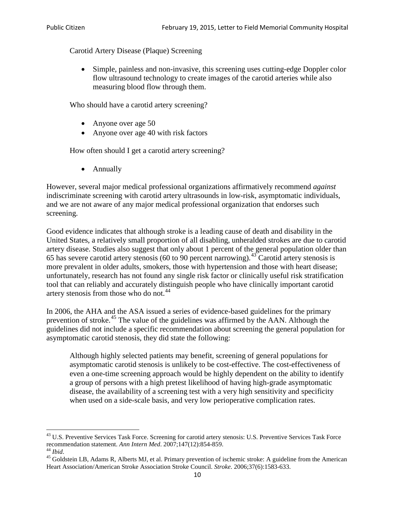Carotid Artery Disease (Plaque) Screening

• Simple, painless and non-invasive, this screening uses cutting-edge Doppler color flow ultrasound technology to create images of the carotid arteries while also measuring blood flow through them.

Who should have a carotid artery screening?

- Anyone over age 50
- Anyone over age 40 with risk factors

How often should I get a carotid artery screening?

• Annually

However, several major medical professional organizations affirmatively recommend *against* indiscriminate screening with carotid artery ultrasounds in low-risk, asymptomatic individuals, and we are not aware of any major medical professional organization that endorses such screening.

Good evidence indicates that although stroke is a leading cause of death and disability in the United States, a relatively small proportion of all disabling, unheralded strokes are due to carotid artery disease. Studies also suggest that only about 1 percent of the general population older than 65 has severe carotid artery stenosis (60 to 90 percent narrowing).<sup>[43](#page-9-0)</sup> Carotid artery stenosis is more prevalent in older adults, smokers, those with hypertension and those with heart disease; unfortunately, research has not found any single risk factor or clinically useful risk stratification tool that can reliably and accurately distinguish people who have clinically important carotid artery stenosis from those who do not.<sup>[44](#page-9-1)</sup>

In 2006, the AHA and the ASA issued a series of evidence-based guidelines for the primary prevention of stroke.<sup>[45](#page-9-2)</sup> The value of the guidelines was affirmed by the AAN. Although the guidelines did not include a specific recommendation about screening the general population for asymptomatic carotid stenosis, they did state the following:

Although highly selected patients may benefit, screening of general populations for asymptomatic carotid stenosis is unlikely to be cost-effective. The cost-effectiveness of even a one-time screening approach would be highly dependent on the ability to identify a group of persons with a high pretest likelihood of having high-grade asymptomatic disease, the availability of a screening test with a very high sensitivity and specificity when used on a side-scale basis, and very low perioperative complication rates.

<span id="page-9-0"></span> $^{43}$  U.S. Preventive Services Task Force. Screening for carotid artery stenosis: U.S. Preventive Services Task Force recommendation statement. Ann Intern Med. 2007;147(12):854-859.

<span id="page-9-2"></span>

<span id="page-9-1"></span><sup>&</sup>lt;sup>44</sup> *Ibid*. <sup>45</sup> Goldstein LB, Adams R, Alberts MJ, et al. Primary prevention of ischemic stroke: A guideline from the American <sup>45</sup> Goldstein LB, Adams R, Alberts MJ, et al. Primary prevention of ischemic stroke: A guide Heart Association/American Stroke Association Stroke Council. *Stroke*. 2006;37(6):1583-633.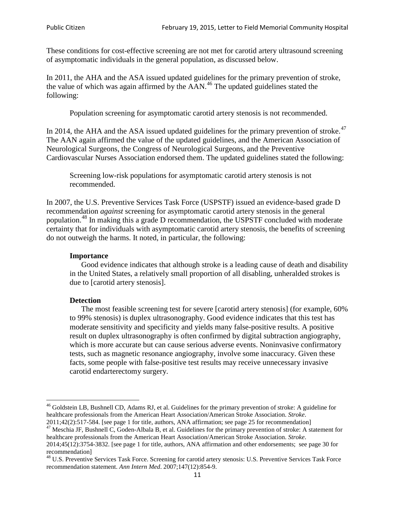These conditions for cost-effective screening are not met for carotid artery ultrasound screening of asymptomatic individuals in the general population, as discussed below.

In 2011, the AHA and the ASA issued updated guidelines for the primary prevention of stroke, the value of which was again affirmed by the  $AAN<sup>46</sup>$  $AAN<sup>46</sup>$  $AAN<sup>46</sup>$ . The updated guidelines stated the following:

Population screening for asymptomatic carotid artery stenosis is not recommended.

In 2014, the AHA and the ASA issued updated guidelines for the primary prevention of stroke.<sup>47</sup> The AAN again affirmed the value of the updated guidelines, and the American Association of Neurological Surgeons, the Congress of Neurological Surgeons, and the Preventive Cardiovascular Nurses Association endorsed them. The updated guidelines stated the following:

Screening low-risk populations for asymptomatic carotid artery stenosis is not recommended.

In 2007, the U.S. Preventive Services Task Force (USPSTF) issued an evidence-based grade D recommendation *against* screening for asymptomatic carotid artery stenosis in the general population.[48](#page-10-2) In making this a grade D recommendation, the USPSTF concluded with moderate certainty that for individuals with asymptomatic carotid artery stenosis, the benefits of screening do not outweigh the harms. It noted, in particular, the following:

#### **Importance**

Good evidence indicates that although stroke is a leading cause of death and disability in the United States, a relatively small proportion of all disabling, unheralded strokes is due to [carotid artery stenosis].

#### **Detection**

The most feasible screening test for severe [carotid artery stenosis] (for example, 60% to 99% stenosis) is duplex ultrasonography. Good evidence indicates that this test has moderate sensitivity and specificity and yields many false-positive results. A positive result on duplex ultrasonography is often confirmed by digital subtraction angiography, which is more accurate but can cause serious adverse events. Noninvasive confirmatory tests, such as magnetic resonance angiography, involve some inaccuracy. Given these facts, some people with false-positive test results may receive unnecessary invasive carotid endarterectomy surgery.

<span id="page-10-0"></span><sup>&</sup>lt;sup>46</sup> Goldstein LB, Bushnell CD, Adams RJ, et al. Guidelines for the primary prevention of stroke: A guideline for healthcare professionals from the American Heart Association/American Stroke Association. *Stroke*.<br>2011;42(2):517-584. [see page 1 for title, authors, ANA affirmation; see page 25 for recommendation]

<span id="page-10-1"></span><sup>&</sup>lt;sup>47</sup> Meschia JF, Bushnell C, Goden-Albala B, et al. Guidelines for the primary prevention of stroke: A statement for healthcare professionals from the American Heart Association/American Stroke Association. *Stroke*. 2014;45(12):3754-3832. [see page 1 for title, authors, ANA affirmation and other endorsements; see page 30 for

recommendation]

<span id="page-10-2"></span><sup>&</sup>lt;sup>48</sup> U.S. Preventive Services Task Force. Screening for carotid artery stenosis: U.S. Preventive Services Task Force recommendation statement. *Ann Intern Med*. 2007;147(12):854-9.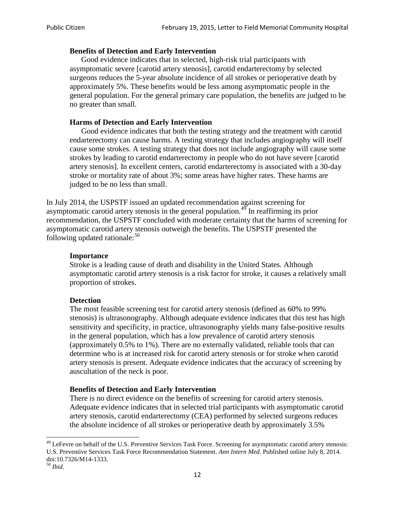### **Benefits of Detection and Early Intervention**

Good evidence indicates that in selected, high-risk trial participants with asymptomatic severe [carotid artery stenosis], carotid endarterectomy by selected surgeons reduces the 5-year absolute incidence of all strokes or perioperative death by approximately 5%. These benefits would be less among asymptomatic people in the general population. For the general primary care population, the benefits are judged to be no greater than small.

### **Harms of Detection and Early Intervention**

Good evidence indicates that both the testing strategy and the treatment with carotid endarterectomy can cause harms. A testing strategy that includes angiography will itself cause some strokes. A testing strategy that does not include angiography will cause some strokes by leading to carotid endarterectomy in people who do not have severe [carotid artery stenosis]. In excellent centers, carotid endarterectomy is associated with a 30-day stroke or mortality rate of about 3%; some areas have higher rates. These harms are judged to be no less than small.

In July 2014, the USPSTF issued an updated recommendation against screening for asymptomatic carotid artery stenosis in the general population.<sup>[49](#page-11-0)</sup> In reaffirming its prior recommendation, the USPSTF concluded with moderate certainty that the harms of screening for asymptomatic carotid artery stenosis outweigh the benefits. The USPSTF presented the following updated rationale: $50$ 

#### **Importance**

Stroke is a leading cause of death and disability in the United States. Although asymptomatic carotid artery stenosis is a risk factor for stroke, it causes a relatively small proportion of strokes.

#### **Detection**

The most feasible screening test for carotid artery stenosis (defined as 60% to 99% stenosis) is ultrasonography. Although adequate evidence indicates that this test has high sensitivity and specificity, in practice, ultrasonography yields many false-positive results in the general population, which has a low prevalence of carotid artery stenosis (approximately 0.5% to 1%). There are no externally validated, reliable tools that can determine who is at increased risk for carotid artery stenosis or for stroke when carotid artery stenosis is present. Adequate evidence indicates that the accuracy of screening by auscultation of the neck is poor.

# **Benefits of Detection and Early Intervention**

There is no direct evidence on the benefits of screening for carotid artery stenosis. Adequate evidence indicates that in selected trial participants with asymptomatic carotid artery stenosis, carotid endarterectomy (CEA) performed by selected surgeons reduces the absolute incidence of all strokes or perioperative death by approximately 3.5%

<span id="page-11-0"></span><sup>&</sup>lt;sup>49</sup> LeFevre on behalf of the U.S. Preventive Services Task Force. Screening for asymptomatic carotid artery stenosis: U.S. Preventive Services Task Force Recommendation Statement. *Ann Intern Med*. Published online July 8, 2014. doi:10.7326/M14-1333. <sup>50</sup> *Ibid*.

<span id="page-11-1"></span>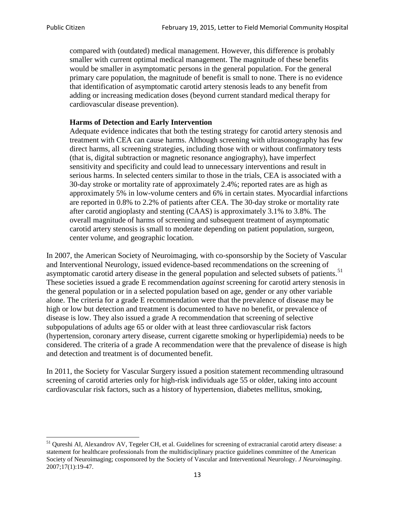compared with (outdated) medical management. However, this difference is probably smaller with current optimal medical management. The magnitude of these benefits would be smaller in asymptomatic persons in the general population. For the general primary care population, the magnitude of benefit is small to none. There is no evidence that identification of asymptomatic carotid artery stenosis leads to any benefit from adding or increasing medication doses (beyond current standard medical therapy for cardiovascular disease prevention).

# **Harms of Detection and Early Intervention**

Adequate evidence indicates that both the testing strategy for carotid artery stenosis and treatment with CEA can cause harms. Although screening with ultrasonography has few direct harms, all screening strategies, including those with or without confirmatory tests (that is, digital subtraction or magnetic resonance angiography), have imperfect sensitivity and specificity and could lead to unnecessary interventions and result in serious harms. In selected centers similar to those in the trials, CEA is associated with a 30-day stroke or mortality rate of approximately 2.4%; reported rates are as high as approximately 5% in low-volume centers and 6% in certain states. Myocardial infarctions are reported in 0.8% to 2.2% of patients after CEA. The 30-day stroke or mortality rate after carotid angioplasty and stenting (CAAS) is approximately 3.1% to 3.8%. The overall magnitude of harms of screening and subsequent treatment of asymptomatic carotid artery stenosis is small to moderate depending on patient population, surgeon, center volume, and geographic location.

In 2007, the American Society of Neuroimaging, with co-sponsorship by the Society of Vascular and Interventional Neurology, issued evidence-based recommendations on the screening of asymptomatic carotid artery disease in the general population and selected subsets of patients.<sup>[51](#page-12-0)</sup> These societies issued a grade E recommendation *against* screening for carotid artery stenosis in the general population or in a selected population based on age, gender or any other variable alone. The criteria for a grade E recommendation were that the prevalence of disease may be high or low but detection and treatment is documented to have no benefit, or prevalence of disease is low. They also issued a grade A recommendation that screening of selective subpopulations of adults age 65 or older with at least three cardiovascular risk factors (hypertension, coronary artery disease, current cigarette smoking or hyperlipidemia) needs to be considered. The criteria of a grade A recommendation were that the prevalence of disease is high and detection and treatment is of documented benefit.

In 2011, the Society for Vascular Surgery issued a position statement recommending ultrasound screening of carotid arteries only for high-risk individuals age 55 or older, taking into account cardiovascular risk factors, such as a history of hypertension, diabetes mellitus, smoking,

<span id="page-12-0"></span><sup>&</sup>lt;sup>51</sup> Oureshi AI, Alexandrov AV, Tegeler CH, et al. Guidelines for screening of extracranial carotid artery disease: a statement for healthcare professionals from the multidisciplinary practice guidelines committee of the American Society of Neuroimaging; cosponsored by the Society of Vascular and Interventional Neurology. *J Neuroimaging*. 2007;17(1):19-47.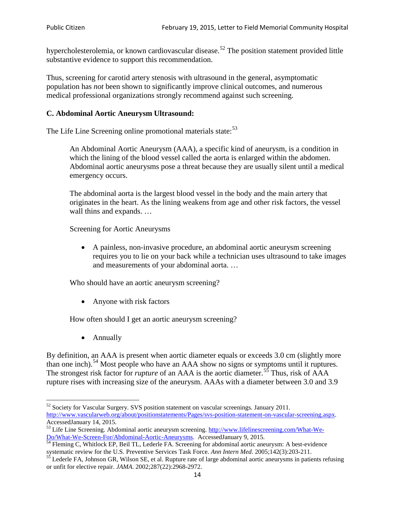hypercholesterolemia, or known cardiovascular disease.<sup>[52](#page-13-0)</sup> The position statement provided little substantive evidence to support this recommendation.

Thus, screening for carotid artery stenosis with ultrasound in the general, asymptomatic population has *not* been shown to significantly improve clinical outcomes, and numerous medical professional organizations strongly recommend against such screening.

# **C. Abdominal Aortic Aneurysm Ultrasound:**

The Life Line Screening online promotional materials state:<sup>[53](#page-13-1)</sup>

An Abdominal Aortic Aneurysm (AAA), a specific kind of aneurysm, is a condition in which the lining of the blood vessel called the aorta is enlarged within the abdomen. Abdominal aortic aneurysms pose a threat because they are usually silent until a medical emergency occurs.

The abdominal aorta is the largest blood vessel in the body and the main artery that originates in the heart. As the lining weakens from age and other risk factors, the vessel wall thins and expands. …

Screening for Aortic Aneurysms

• A painless, non-invasive procedure, an abdominal aortic aneurysm screening requires you to lie on your back while a technician uses ultrasound to take images and measurements of your abdominal aorta. …

Who should have an aortic aneurysm screening?

• Anyone with risk factors

How often should I get an aortic aneurysm screening?

• Annually

By definition, an AAA is present when aortic diameter equals or exceeds 3.0 cm (slightly more than one inch).<sup>[54](#page-13-2)</sup> Most people who have an AAA show no signs or symptoms until it ruptures. The strongest risk factor for *rupture* of an AAA is the aortic diameter.<sup>[55](#page-13-3)</sup> Thus, risk of AAA rupture rises with increasing size of the aneurysm. AAAs with a diameter between 3.0 and 3.9

<span id="page-13-0"></span><sup>&</sup>lt;sup>52</sup> Society for Vascular Surgery. SVS position statement on vascular screenings. January 2011. http://www.vascularweb.org/about/positionstatements/Pages/svs-position-statement-on-vascular-screening.aspx.<br>Accessed January 14, 2015.

<span id="page-13-1"></span>Accessed January 14, 2015.<br>
Sa Life Line Screening. Abdominal aortic aneurysm screening. http://www.lifelinescreening.com/What-We-<br>
Do/What-We-Screen-For/Abdominal-Aortic-Aneurysms. Accessed January 9, 2015.

<span id="page-13-2"></span> $\frac{1}{54}$  Fleming C, Whitlock EP, Beil TL, Lederle FA. Screening for abdominal aortic aneurysm: A best-evidence systematic review for the U.S. Preventive Services Task Force. *Ann Intern Med.* 2005;142(3):203-211.<br><sup>55</sup> Lederle FA, Johnson GR, Wilson SE, et al. Rupture rate of large abdominal aortic aneurysms in patients refusing

<span id="page-13-3"></span>or unfit for elective repair. *JAMA*. 2002;287(22):2968-2972.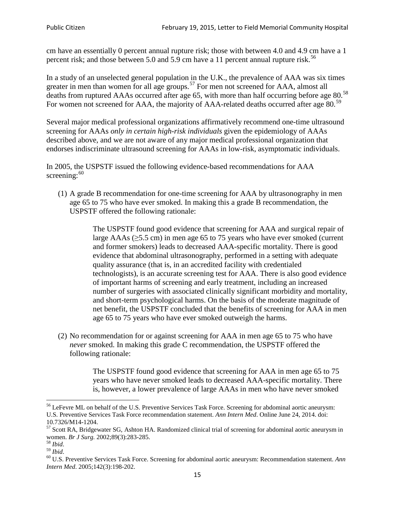cm have an essentially 0 percent annual rupture risk; those with between 4.0 and 4.9 cm have a 1 percent risk; and those between 5.0 and 5.9 cm have a 11 percent annual rupture risk.<sup>[56](#page-14-0)</sup>

In a study of an unselected general population in the U.K., the prevalence of AAA was six times greater in men than women for all age groups.<sup>[57](#page-14-1)</sup> For men not screened for  $AAA$ , almost all deaths from ruptured AAAs occurred after age 65, with more than half occurring before age 80.<sup>[58](#page-14-2)</sup> For women not screened for AAA, the majority of AAA-related deaths occurred after age 80.<sup>[59](#page-14-3)</sup>

Several major medical professional organizations affirmatively recommend one-time ultrasound screening for AAAs *only in certain high-risk individuals* given the epidemiology of AAAs described above, and we are not aware of any major medical professional organization that endorses indiscriminate ultrasound screening for AAAs in low-risk, asymptomatic individuals.

In 2005, the USPSTF issued the following evidence-based recommendations for AAA screening:  $60$ 

(1) A grade B recommendation for one-time screening for AAA by ultrasonography in men age 65 to 75 who have ever smoked. In making this a grade [B recommendation,](http://www.uspreventiveservicestaskforce.org/uspstf/gradespre.htm#brec) the USPSTF offered the following rationale:

> The USPSTF found good evidence that screening for AAA and surgical repair of large AAAs ( $\geq$ 5.5 cm) in men age 65 to 75 years who have ever smoked (current and former smokers) leads to decreased AAA-specific mortality. There is good evidence that abdominal ultrasonography, performed in a setting with adequate quality assurance (that is, in an accredited facility with credentialed technologists), is an accurate screening test for AAA. There is also good evidence of important harms of screening and early treatment, including an increased number of surgeries with associated clinically significant morbidity and mortality, and short-term psychological harms. On the basis of the moderate magnitude of net benefit, the USPSTF concluded that the benefits of screening for AAA in men age 65 to 75 years who have ever smoked outweigh the harms.

(2) No recommendation for or against screening for AAA in men age 65 to 75 who have *never* smoked. In making this grade C recommendation, the USPSTF offered the following rationale:

> The USPSTF found good evidence that screening for AAA in men age 65 to 75 years who have never smoked leads to decreased AAA-specific mortality. There is, however, a lower prevalence of large AAAs in men who have never smoked

<span id="page-14-0"></span><sup>&</sup>lt;sup>56</sup> LeFevre ML on behalf of the U.S. Preventive Services Task Force. Screening for abdominal aortic aneurysm: U.S. Preventive Services Task Force recommendation statement. *Ann Intern Med*. Online June 24, 2014. doi:

<span id="page-14-1"></span><sup>10.7326/</sup>M14-1204.<br> $57$  Scott RA, Bridgewater SG, Ashton HA. Randomized clinical trial of screening for abdominal aortic aneurysm in women. *Br J Surg.* 2002;89(3):283-285.

<span id="page-14-4"></span><span id="page-14-3"></span>

<span id="page-14-2"></span><sup>&</sup>lt;sup>58</sup> *Ibid.*<br><sup>59</sup> *Ibid.* 2002;<br><sup>60</sup> U.S. Preventive Services Task Force. Screening for abdominal aortic aneurysm: Recommendation statement. *Ann Intern Med*. 2005;142(3):198-202.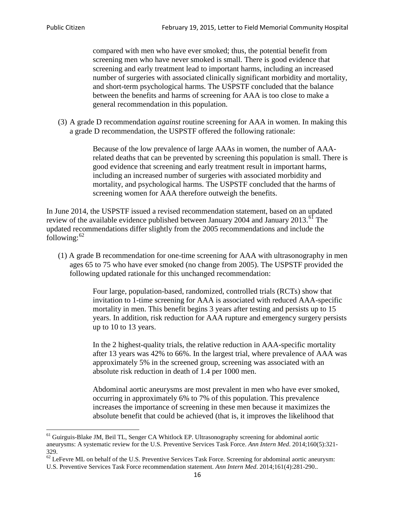compared with men who have ever smoked; thus, the potential benefit from screening men who have never smoked is small. There is good evidence that screening and early treatment lead to important harms, including an increased number of surgeries with associated clinically significant morbidity and mortality, and short-term psychological harms. The USPSTF concluded that the balance between the benefits and harms of screening for AAA is too close to make a general recommendation in this population.

(3) A grade D recommendation *against* routine screening for AAA in women. In making this a grade D recommendation, the USPSTF offered the following rationale:

> Because of the low prevalence of large AAAs in women, the number of AAArelated deaths that can be prevented by screening this population is small. There is good evidence that screening and early treatment result in important harms, including an increased number of surgeries with associated morbidity and mortality, and psychological harms. The USPSTF concluded that the harms of screening women for AAA therefore outweigh the benefits.

In June 2014, the USPSTF issued a revised recommendation statement, based on an updated review of the available evidence published between January 2004 and January 2013.<sup>[61](#page-15-0)</sup> The updated recommendations differ slightly from the 2005 recommendations and include the following: $62$ 

(1) A grade B recommendation for one-time screening for AAA with ultrasonography in men ages 65 to 75 who have ever smoked (no change from 2005). The USPSTF provided the following updated rationale for this unchanged recommendation:

> Four large, population-based, randomized, controlled trials (RCTs) show that invitation to 1-time screening for AAA is associated with reduced AAA-specific mortality in men. This benefit begins 3 years after testing and persists up to 15 years. In addition, risk reduction for AAA rupture and emergency surgery persists up to 10 to 13 years.

> In the 2 highest-quality trials, the relative reduction in AAA-specific mortality after 13 years was 42% to 66%. In the largest trial, where prevalence of AAA was approximately 5% in the screened group, screening was associated with an absolute risk reduction in death of 1.4 per 1000 men.

Abdominal aortic aneurysms are most prevalent in men who have ever smoked, occurring in approximately 6% to 7% of this population. This prevalence increases the importance of screening in these men because it maximizes the absolute benefit that could be achieved (that is, it improves the likelihood that

<span id="page-15-0"></span><sup>61</sup> Guirguis-Blake JM, Beil TL, Senger CA Whitlock EP. Ultrasonography screening for abdominal aortic aneurysms: A systematic review for the U.S. Preventive Services Task Force. *Ann Intern Med*. 2014;160(5):321- 329.

<span id="page-15-1"></span> $62$  LeFevre ML on behalf of the U.S. Preventive Services Task Force. Screening for abdominal aortic aneurysm: U.S. Preventive Services Task Force recommendation statement. *Ann Intern Med*. 2014;161(4):281-290..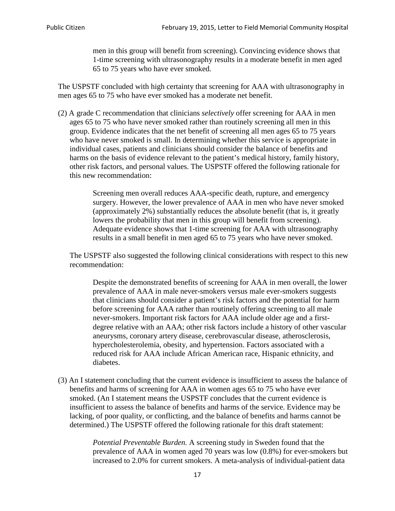men in this group will benefit from screening). Convincing evidence shows that 1-time screening with ultrasonography results in a moderate benefit in men aged 65 to 75 years who have ever smoked.

The USPSTF concluded with high certainty that screening for AAA with ultrasonography in men ages 65 to 75 who have ever smoked has a moderate net benefit.

(2) A grade C recommendation that clinicians *selectively* offer screening for AAA in men ages 65 to 75 who have never smoked rather than routinely screening all men in this group. Evidence indicates that the net benefit of screening all men ages 65 to 75 years who have never smoked is small. In determining whether this service is appropriate in individual cases, patients and clinicians should consider the balance of benefits and harms on the basis of evidence relevant to the patient's medical history, family history, other risk factors, and personal values. The USPSTF offered the following rationale for this new recommendation:

> Screening men overall reduces AAA-specific death, rupture, and emergency surgery. However, the lower prevalence of AAA in men who have never smoked (approximately 2%) substantially reduces the absolute benefit (that is, it greatly lowers the probability that men in this group will benefit from screening). Adequate evidence shows that 1-time screening for AAA with ultrasonography results in a small benefit in men aged 65 to 75 years who have never smoked.

The USPSTF also suggested the following clinical considerations with respect to this new recommendation:

Despite the demonstrated benefits of screening for AAA in men overall, the lower prevalence of AAA in male never-smokers versus male ever-smokers suggests that clinicians should consider a patient's risk factors and the potential for harm before screening for AAA rather than routinely offering screening to all male never-smokers. Important risk factors for AAA include older age and a firstdegree relative with an AAA; other risk factors include a history of other vascular aneurysms, coronary artery disease, cerebrovascular disease, atherosclerosis, hypercholesterolemia, obesity, and hypertension. Factors associated with a reduced risk for AAA include African American race, Hispanic ethnicity, and diabetes.

(3) An I statement concluding that the current evidence is insufficient to assess the balance of benefits and harms of screening for AAA in women ages 65 to 75 who have ever smoked. (An I statement means the USPSTF concludes that the current evidence is insufficient to assess the balance of benefits and harms of the service. Evidence may be lacking, of poor quality, or conflicting, and the balance of benefits and harms cannot be determined.) The USPSTF offered the following rationale for this draft statement:

> *Potential Preventable Burden.* A screening study in Sweden found that the prevalence of AAA in women aged 70 years was low (0.8%) for ever-smokers but increased to 2.0% for current smokers. A meta-analysis of individual-patient data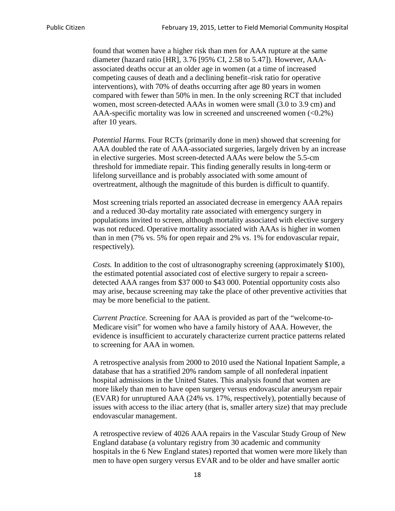found that women have a higher risk than men for AAA rupture at the same diameter (hazard ratio [HR], 3.76 [95% CI, 2.58 to 5.47]). However, AAAassociated deaths occur at an older age in women (at a time of increased competing causes of death and a declining benefit–risk ratio for operative interventions), with 70% of deaths occurring after age 80 years in women compared with fewer than 50% in men. In the only screening RCT that included women, most screen-detected AAAs in women were small (3.0 to 3.9 cm) and AAA-specific mortality was low in screened and unscreened women  $(<0.2\%)$ after 10 years.

*Potential Harms.* Four RCTs (primarily done in men) showed that screening for AAA doubled the rate of AAA-associated surgeries, largely driven by an increase in elective surgeries. Most screen-detected AAAs were below the 5.5-cm threshold for immediate repair. This finding generally results in long-term or lifelong surveillance and is probably associated with some amount of overtreatment, although the magnitude of this burden is difficult to quantify.

Most screening trials reported an associated decrease in emergency AAA repairs and a reduced 30-day mortality rate associated with emergency surgery in populations invited to screen, although mortality associated with elective surgery was not reduced. Operative mortality associated with AAAs is higher in women than in men (7% vs. 5% for open repair and 2% vs. 1% for endovascular repair, respectively).

*Costs.* In addition to the cost of ultrasonography screening (approximately \$100), the estimated potential associated cost of elective surgery to repair a screendetected AAA ranges from \$37 000 to \$43 000. Potential opportunity costs also may arise, because screening may take the place of other preventive activities that may be more beneficial to the patient.

*Current Practice.* Screening for AAA is provided as part of the "welcome-to-Medicare visit" for women who have a family history of AAA. However, the evidence is insufficient to accurately characterize current practice patterns related to screening for AAA in women.

A retrospective analysis from 2000 to 2010 used the National Inpatient Sample, a database that has a stratified 20% random sample of all nonfederal inpatient hospital admissions in the United States. This analysis found that women are more likely than men to have open surgery versus endovascular aneurysm repair (EVAR) for unruptured AAA (24% vs. 17%, respectively), potentially because of issues with access to the iliac artery (that is, smaller artery size) that may preclude endovascular management.

A retrospective review of 4026 AAA repairs in the Vascular Study Group of New England database (a voluntary registry from 30 academic and community hospitals in the 6 New England states) reported that women were more likely than men to have open surgery versus EVAR and to be older and have smaller aortic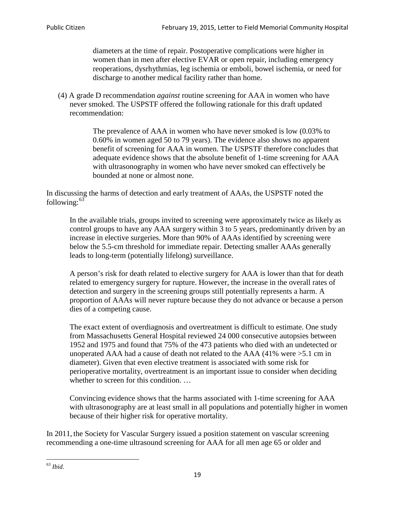diameters at the time of repair. Postoperative complications were higher in women than in men after elective EVAR or open repair, including emergency reoperations, dysrhythmias, leg ischemia or emboli, bowel ischemia, or need for discharge to another medical facility rather than home.

(4) A grade D recommendation *against* routine screening for AAA in women who have never smoked. The USPSTF offered the following rationale for this draft updated recommendation:

> The prevalence of AAA in women who have never smoked is low (0.03% to 0.60% in women aged 50 to 79 years). The evidence also shows no apparent benefit of screening for AAA in women. The USPSTF therefore concludes that adequate evidence shows that the absolute benefit of 1-time screening for AAA with ultrasonography in women who have never smoked can effectively be bounded at none or almost none.

In discussing the harms of detection and early treatment of AAAs, the USPSTF noted the following: $63$ 

In the available trials, groups invited to screening were approximately twice as likely as control groups to have any AAA surgery within 3 to 5 years, predominantly driven by an increase in elective surgeries. More than 90% of AAAs identified by screening were below the 5.5-cm threshold for immediate repair. Detecting smaller AAAs generally leads to long-term (potentially lifelong) surveillance.

A person's risk for death related to elective surgery for AAA is lower than that for death related to emergency surgery for rupture. However, the increase in the overall rates of detection and surgery in the screening groups still potentially represents a harm. A proportion of AAAs will never rupture because they do not advance or because a person dies of a competing cause.

The exact extent of overdiagnosis and overtreatment is difficult to estimate. One study from Massachusetts General Hospital reviewed 24 000 consecutive autopsies between 1952 and 1975 and found that 75% of the 473 patients who died with an undetected or unoperated AAA had a cause of death not related to the AAA (41% were >5.1 cm in diameter). Given that even elective treatment is associated with some risk for perioperative mortality, overtreatment is an important issue to consider when deciding whether to screen for this condition....

Convincing evidence shows that the harms associated with 1-time screening for AAA with ultrasonography are at least small in all populations and potentially higher in women because of their higher risk for operative mortality.

In 2011, the Society for Vascular Surgery issued a position statement on vascular screening recommending a one-time ultrasound screening for AAA for all men age 65 or older and

<span id="page-18-0"></span><sup>63</sup> *Ibid*.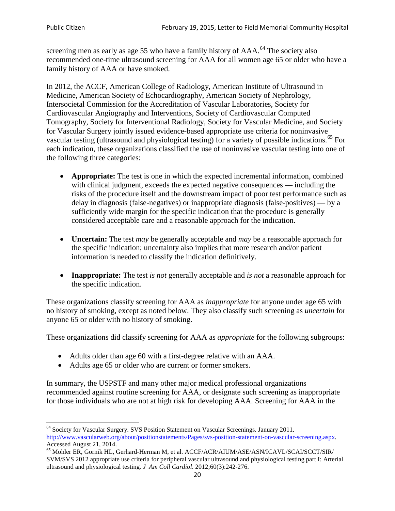screening men as early as age 55 who have a family history of AAA.<sup>[64](#page-19-0)</sup> The society also recommended one-time ultrasound screening for AAA for all women age 65 or older who have a family history of AAA or have smoked.

In 2012, the ACCF, American College of Radiology, American Institute of Ultrasound in Medicine, American Society of Echocardiography, American Society of Nephrology, Intersocietal Commission for the Accreditation of Vascular Laboratories, Society for Cardiovascular Angiography and Interventions, Society of Cardiovascular Computed Tomography, Society for Interventional Radiology, Society for Vascular Medicine, and Society for Vascular Surgery jointly issued evidence-based appropriate use criteria for noninvasive vascular testing (ultrasound and physiological testing) for a variety of possible indications.<sup>[65](#page-19-1)</sup> For each indication, these organizations classified the use of noninvasive vascular testing into one of the following three categories:

- **Appropriate:** The test is one in which the expected incremental information, combined with clinical judgment, exceeds the expected negative consequences — including the risks of the procedure itself and the downstream impact of poor test performance such as delay in diagnosis (false-negatives) or inappropriate diagnosis (false-positives) — by a sufficiently wide margin for the specific indication that the procedure is generally considered acceptable care and a reasonable approach for the indication.
- **Uncertain:** The test *may* be generally acceptable and *may* be a reasonable approach for the specific indication; uncertainty also implies that more research and/or patient information is needed to classify the indication definitively.
- **Inappropriate:** The test *is not* generally acceptable and *is not* a reasonable approach for the specific indication.

These organizations classify screening for AAA as *inappropriate* for anyone under age 65 with no history of smoking, except as noted below. They also classify such screening as *uncertain* for anyone 65 or older with no history of smoking.

These organizations did classify screening for AAA as *appropriate* for the following subgroups:

- Adults older than age 60 with a first-degree relative with an AAA.
- Adults age 65 or older who are current or former smokers.

In summary, the USPSTF and many other major medical professional organizations recommended against routine screening for AAA, or designate such screening as inappropriate for those individuals who are not at high risk for developing AAA. Screening for AAA in the

<span id="page-19-0"></span><sup>64</sup> Society for Vascular Surgery. SVS Position Statement on Vascular Screenings. January 2011. [http://www.vascularweb.org/about/positionstatements/Pages/svs-position-statement-on-vascular-screening.aspx.](http://www.vascularweb.org/about/positionstatements/Pages/svs-position-statement-on-vascular-screening.aspx) 

<span id="page-19-1"></span>Accessed August 21, 2014.<br><sup>65</sup> Mohler ER, Gornik HL, Gerhard-Herman M, et al. ACCF/ACR/AIUM/ASE/ASN/ICAVL/SCAI/SCCT/SIR/ SVM/SVS 2012 appropriate use criteria for peripheral vascular ultrasound and physiological testing part I: Arterial ultrasound and physiological testing*. J Am Coll Cardiol*. 2012;60(3):242-276.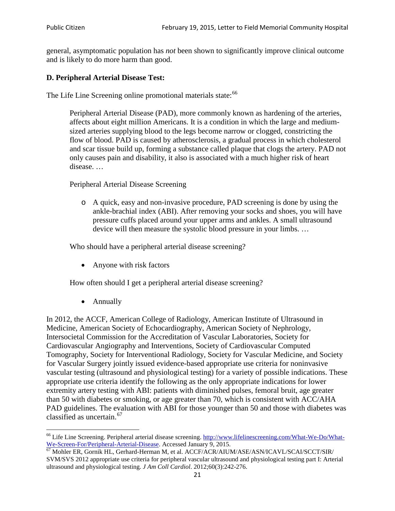general, asymptomatic population has *not* been shown to significantly improve clinical outcome and is likely to do more harm than good.

### **D. Peripheral Arterial Disease Test:**

The Life Line Screening online promotional materials state:<sup>[66](#page-20-0)</sup>

Peripheral Arterial Disease (PAD), more commonly known as hardening of the arteries, affects about eight million Americans. It is a condition in which the large and mediumsized arteries supplying blood to the legs become narrow or clogged, constricting the flow of blood. PAD is caused by atherosclerosis, a gradual process in which cholesterol and scar tissue build up, forming a substance called plaque that clogs the artery. PAD not only causes pain and disability, it also is associated with a much higher risk of heart disease. …

Peripheral Arterial Disease Screening

o A quick, easy and non-invasive procedure, PAD screening is done by using the ankle-brachial index (ABI). After removing your socks and shoes, you will have pressure cuffs placed around your upper arms and ankles. A small ultrasound device will then measure the systolic blood pressure in your limbs. …

Who should have a peripheral arterial disease screening?

• Anyone with risk factors

How often should I get a peripheral arterial disease screening?

• Annually

In 2012, the ACCF, American College of Radiology, American Institute of Ultrasound in Medicine, American Society of Echocardiography, American Society of Nephrology, Intersocietal Commission for the Accreditation of Vascular Laboratories, Society for Cardiovascular Angiography and Interventions, Society of Cardiovascular Computed Tomography, Society for Interventional Radiology, Society for Vascular Medicine, and Society for Vascular Surgery jointly issued evidence-based appropriate use criteria for noninvasive vascular testing (ultrasound and physiological testing) for a variety of possible indications. These appropriate use criteria identify the following as the only appropriate indications for lower extremity artery testing with ABI: patients with diminished pulses, femoral bruit, age greater than 50 with diabetes or smoking, or age greater than 70, which is consistent with ACC/AHA PAD guidelines. The evaluation with ABI for those younger than 50 and those with diabetes was classified as uncertain.<sup>[67](#page-20-1)</sup>

<span id="page-20-0"></span><sup>&</sup>lt;sup>66</sup> Life Line Screening. Peripheral arterial disease screening. [http://www.lifelinescreening.com/What-We-Do/What-](http://www.lifelinescreening.com/What-We-Do/What-We-Screen-For/Peripheral-Arterial-Disease)[We-Screen-For/Peripheral-Arterial-Disease.](http://www.lifelinescreening.com/What-We-Do/What-We-Screen-For/Peripheral-Arterial-Disease) Accessed January 9, 2015.<br><sup>67</sup> Mohler ER, Gornik HL, Gerhard-Herman M, et al. ACCF/ACR/AIUM/ASE/ASN/ICAVL/SCAI/SCCT/SIR/

<span id="page-20-1"></span>SVM/SVS 2012 appropriate use criteria for peripheral vascular ultrasound and physiological testing part I: Arterial ultrasound and physiological testing. *J Am Coll Cardiol*. 2012;60(3):242-276.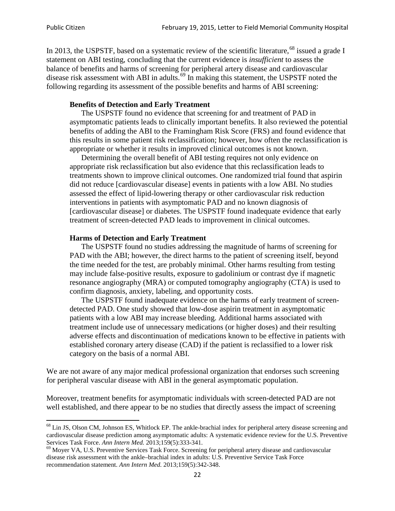In 2013, the USPSTF, based on a systematic review of the scientific literature,<sup>[68](#page-21-0)</sup> issued a grade I statement on ABI testing, concluding that the current evidence is *insufficient* to assess the balance of benefits and harms of screening for peripheral artery disease and cardiovascular disease risk assessment with ABI in adults.<sup>[69](#page-21-1)</sup> In making this statement, the USPSTF noted the following regarding its assessment of the possible benefits and harms of ABI screening:

#### **Benefits of Detection and Early Treatment**

The USPSTF found no evidence that screening for and treatment of PAD in asymptomatic patients leads to clinically important benefits. It also reviewed the potential benefits of adding the ABI to the Framingham Risk Score (FRS) and found evidence that this results in some patient risk reclassification; however, how often the reclassification is appropriate or whether it results in improved clinical outcomes is not known.

Determining the overall benefit of ABI testing requires not only evidence on appropriate risk reclassification but also evidence that this reclassification leads to treatments shown to improve clinical outcomes. One randomized trial found that aspirin did not reduce [cardiovascular disease] events in patients with a low ABI. No studies assessed the effect of lipid-lowering therapy or other cardiovascular risk reduction interventions in patients with asymptomatic PAD and no known diagnosis of [cardiovascular disease] or diabetes. The USPSTF found inadequate evidence that early treatment of screen-detected PAD leads to improvement in clinical outcomes.

#### **Harms of Detection and Early Treatment**

The USPSTF found no studies addressing the magnitude of harms of screening for PAD with the ABI; however, the direct harms to the patient of screening itself, beyond the time needed for the test, are probably minimal. Other harms resulting from testing may include false-positive results, exposure to gadolinium or contrast dye if magnetic resonance angiography (MRA) or computed tomography angiography (CTA) is used to confirm diagnosis, anxiety, labeling, and opportunity costs.

The USPSTF found inadequate evidence on the harms of early treatment of screendetected PAD. One study showed that low-dose aspirin treatment in asymptomatic patients with a low ABI may increase bleeding. Additional harms associated with treatment include use of unnecessary medications (or higher doses) and their resulting adverse effects and discontinuation of medications known to be effective in patients with established coronary artery disease (CAD) if the patient is reclassified to a lower risk category on the basis of a normal ABI.

We are not aware of any major medical professional organization that endorses such screening for peripheral vascular disease with ABI in the general asymptomatic population.

Moreover, treatment benefits for asymptomatic individuals with screen-detected PAD are not well established, and there appear to be no studies that directly assess the impact of screening

<span id="page-21-0"></span><sup>&</sup>lt;sup>68</sup> Lin JS, Olson CM, Johnson ES, Whitlock EP. The ankle-brachial index for peripheral artery disease screening and cardiovascular disease prediction among asymptomatic adults: A systematic evidence review for the U.S. Preventive Services Task Force. *Ann Intern Med.* 2013;159(5):333-341.<br><sup>69</sup> Moyer VA, U.S. Preventive Services Task Force. Screening for peripheral artery disease and cardiovascular

<span id="page-21-1"></span>disease risk assessment with the ankle–brachial index in adults: U.S. Preventive Service Task Force recommendation statement. *Ann Intern Med.* 2013;159(5):342-348.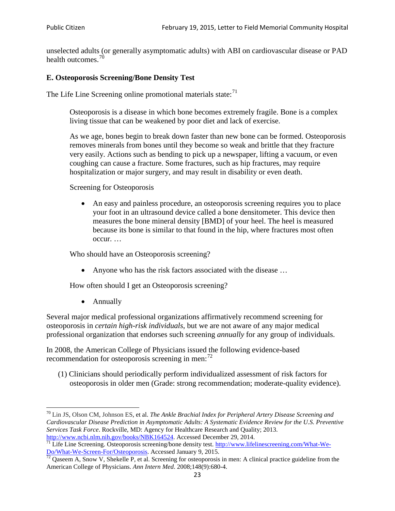unselected adults (or generally asymptomatic adults) with ABI on cardiovascular disease or PAD health outcomes.<sup>[70](#page-22-0)</sup>

### **E. Osteoporosis Screening/Bone Density Test**

The Life Line Screening online promotional materials state: $71$ 

Osteoporosis is a disease in which bone becomes extremely fragile. Bone is a complex living tissue that can be weakened by poor diet and lack of exercise.

As we age, bones begin to break down faster than new bone can be formed. Osteoporosis removes minerals from bones until they become so weak and brittle that they fracture very easily. Actions such as bending to pick up a newspaper, lifting a vacuum, or even coughing can cause a fracture. Some fractures, such as hip fractures, may require hospitalization or major surgery, and may result in disability or even death.

Screening for Osteoporosis

• An easy and painless procedure, an osteoporosis screening requires you to place your foot in an ultrasound device called a bone densitometer. This device then measures the bone mineral density [BMD] of your heel. The heel is measured because its bone is similar to that found in the hip, where fractures most often occur. …

Who should have an Osteoporosis screening?

• Anyone who has the risk factors associated with the disease ...

How often should I get an Osteoporosis screening?

• Annually

Several major medical professional organizations affirmatively recommend screening for osteoporosis in *certain high-risk individuals*, but we are not aware of any major medical professional organization that endorses such screening *annually* for any group of individuals.

In 2008, the American College of Physicians issued the following evidence-based recommendation for osteoporosis screening in men: $^{72}$  $^{72}$  $^{72}$ 

(1) Clinicians should periodically perform individualized assessment of risk factors for osteoporosis in older men (Grade: strong recommendation; moderate-quality evidence).

<span id="page-22-0"></span><sup>70</sup> [Lin JS,](http://www.ncbi.nlm.nih.gov/pubmed?term=Lin%20JS%5BAuthor%5D&cauthor=true&cauthor_uid=24156115) [Olson CM,](http://www.ncbi.nlm.nih.gov/pubmed?term=Olson%20CM%5BAuthor%5D&cauthor=true&cauthor_uid=24156115) [Johnson ES,](http://www.ncbi.nlm.nih.gov/pubmed?term=Johnson%20ES%5BAuthor%5D&cauthor=true&cauthor_uid=24156115) et al. *The Ankle Brachial Index for Peripheral Artery Disease Screening and Cardiovascular Disease Prediction in Asymptomatic Adults: A Systematic Evidence Review for the U.S. Preventive Services Task Force*. Rockville, MD: Agency for Healthcare Research and Quality; 2013.<br>http://www.ncbi.nlm.nih.gov/books/NBK164524. Accessed December 29, 2014.

<span id="page-22-1"></span> $\frac{1}{71}$  Life Line Screening. Osteoporosis screening/bone density test. [http://www.lifelinescreening.com/What-We-](http://www.lifelinescreening.com/What-We-Do/What-We-Screen-For/Osteoporosis)[Do/What-We-Screen-For/Osteoporosis.](http://www.lifelinescreening.com/What-We-Do/What-We-Screen-For/Osteoporosis) Accessed January 9, 2015. <sup>72</sup> Qaseem A, Snow V, Shekelle P, et al. Screening for osteoporosis in men: A clinical practice guideline from the

<span id="page-22-2"></span>American College of Physicians. *Ann Intern Med*. 2008;148(9):680-4.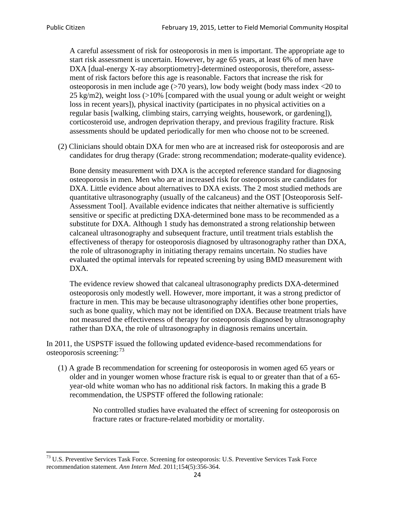A careful assessment of risk for osteoporosis in men is important. The appropriate age to start risk assessment is uncertain. However, by age 65 years, at least 6% of men have DXA [dual-energy X-ray absorptiometry]-determined osteoporosis, therefore, assessment of risk factors before this age is reasonable. Factors that increase the risk for osteoporosis in men include age (>70 years), low body weight (body mass index <20 to 25 kg/m2), weight loss (>10% [compared with the usual young or adult weight or weight loss in recent years]), physical inactivity (participates in no physical activities on a regular basis [walking, climbing stairs, carrying weights, housework, or gardening]), corticosteroid use, androgen deprivation therapy, and previous fragility fracture. Risk assessments should be updated periodically for men who choose not to be screened.

(2) Clinicians should obtain DXA for men who are at increased risk for osteoporosis and are candidates for drug therapy (Grade: strong recommendation; moderate-quality evidence).

Bone density measurement with DXA is the accepted reference standard for diagnosing osteoporosis in men. Men who are at increased risk for osteoporosis are candidates for DXA. Little evidence about alternatives to DXA exists. The 2 most studied methods are quantitative ultrasonography (usually of the calcaneus) and the OST [Osteoporosis Self-Assessment Tool]. Available evidence indicates that neither alternative is sufficiently sensitive or specific at predicting DXA-determined bone mass to be recommended as a substitute for DXA. Although 1 study has demonstrated a strong relationship between calcaneal ultrasonography and subsequent fracture, until treatment trials establish the effectiveness of therapy for osteoporosis diagnosed by ultrasonography rather than DXA, the role of ultrasonography in initiating therapy remains uncertain. No studies have evaluated the optimal intervals for repeated screening by using BMD measurement with DXA.

The evidence review showed that calcaneal ultrasonography predicts DXA-determined osteoporosis only modestly well. However, more important, it was a strong predictor of fracture in men. This may be because ultrasonography identifies other bone properties, such as bone quality, which may not be identified on DXA. Because treatment trials have not measured the effectiveness of therapy for osteoporosis diagnosed by ultrasonography rather than DXA, the role of ultrasonography in diagnosis remains uncertain.

In 2011, the USPSTF issued the following updated evidence-based recommendations for osteoporosis screening:<sup>[73](#page-23-0)</sup>

(1) A grade B recommendation for screening for osteoporosis in women aged 65 years or older and in younger women whose fracture risk is equal to or greater than that of a 65 year-old white woman who has no additional risk factors. In making this a grade B recommendation, the USPSTF offered the following rationale:

> No controlled studies have evaluated the effect of screening for osteoporosis on fracture rates or fracture-related morbidity or mortality.

<span id="page-23-0"></span><sup>&</sup>lt;sup>73</sup> U.S. Preventive Services Task Force. Screening for osteoporosis: U.S. Preventive Services Task Force recommendation statement. *Ann Intern Med*. 2011;154(5):356-364.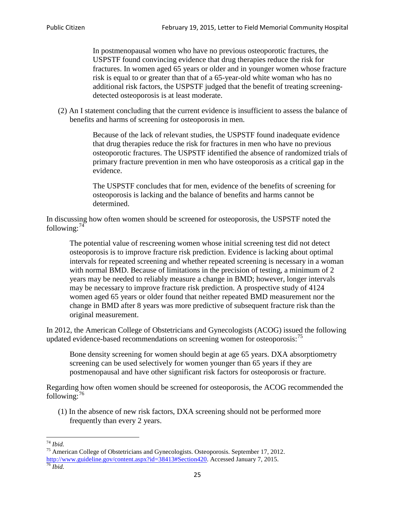In postmenopausal women who have no previous osteoporotic fractures, the USPSTF found convincing evidence that drug therapies reduce the risk for fractures. In women aged 65 years or older and in younger women whose fracture risk is equal to or greater than that of a 65-year-old white woman who has no additional risk factors, the USPSTF judged that the benefit of treating screeningdetected osteoporosis is at least moderate.

(2) An I statement concluding that the current evidence is insufficient to assess the balance of benefits and harms of screening for osteoporosis in men.

> Because of the lack of relevant studies, the USPSTF found inadequate evidence that drug therapies reduce the risk for fractures in men who have no previous osteoporotic fractures. The USPSTF identified the absence of randomized trials of primary fracture prevention in men who have osteoporosis as a critical gap in the evidence.

The USPSTF concludes that for men, evidence of the benefits of screening for osteoporosis is lacking and the balance of benefits and harms cannot be determined.

In discussing how often women should be screened for osteoporosis, the USPSTF noted the following: $74$ 

The potential value of rescreening women whose initial screening test did not detect osteoporosis is to improve fracture risk prediction. Evidence is lacking about optimal intervals for repeated screening and whether repeated screening is necessary in a woman with normal BMD. Because of limitations in the precision of testing, a minimum of 2 years may be needed to reliably measure a change in BMD; however, longer intervals may be necessary to improve fracture risk prediction. A prospective study of 4124 women aged 65 years or older found that neither repeated BMD measurement nor the change in BMD after 8 years was more predictive of subsequent fracture risk than the original measurement.

In 2012, the American College of Obstetricians and Gynecologists (ACOG) issued the following updated evidence-based recommendations on screening women for osteoporosis:<sup>[75](#page-24-1)</sup>

Bone density screening for women should begin at age 65 years. DXA absorptiometry screening can be used selectively for women younger than 65 years if they are postmenopausal and have other significant risk factors for osteoporosis or fracture.

Regarding how often women should be screened for osteoporosis, the ACOG recommended the following: $^{76}$  $^{76}$  $^{76}$ 

(1) In the absence of new risk factors, DXA screening should not be performed more frequently than every 2 years.

<span id="page-24-2"></span><span id="page-24-1"></span><span id="page-24-0"></span><sup>74</sup> *Ibid.* <sup>75</sup> American College of Obstetricians and Gynecologists. Osteoporosis. September 17, 2012. [http://www.guideline.gov/content.aspx?id=38413#Section420.](http://www.guideline.gov/content.aspx?id=38413#Section420) Accessed January 7, 2015.<br><sup>76</sup> *Ibid.*